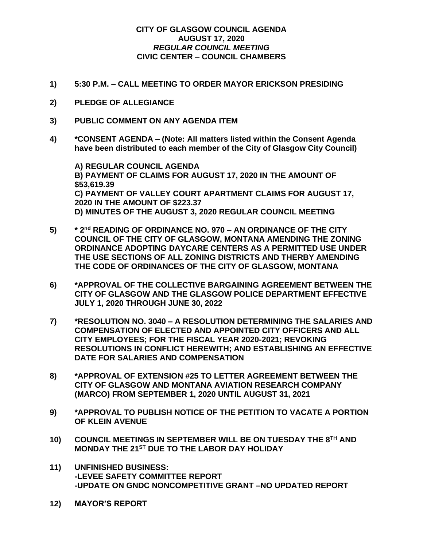## **CITY OF GLASGOW COUNCIL AGENDA AUGUST 17, 2020** *REGULAR COUNCIL MEETING* **CIVIC CENTER – COUNCIL CHAMBERS**

- **1) 5:30 P.M. – CALL MEETING TO ORDER MAYOR ERICKSON PRESIDING**
- **2) PLEDGE OF ALLEGIANCE**
- **3) PUBLIC COMMENT ON ANY AGENDA ITEM**
- **4) \*CONSENT AGENDA – (Note: All matters listed within the Consent Agenda have been distributed to each member of the City of Glasgow City Council)**

**A) REGULAR COUNCIL AGENDA B) PAYMENT OF CLAIMS FOR AUGUST 17, 2020 IN THE AMOUNT OF \$53,619.39 C) PAYMENT OF VALLEY COURT APARTMENT CLAIMS FOR AUGUST 17, 2020 IN THE AMOUNT OF \$223.37 D) MINUTES OF THE AUGUST 3, 2020 REGULAR COUNCIL MEETING**

- **5) \* 2nd READING OF ORDINANCE NO. 970 – AN ORDINANCE OF THE CITY COUNCIL OF THE CITY OF GLASGOW, MONTANA AMENDING THE ZONING ORDINANCE ADOPTING DAYCARE CENTERS AS A PERMITTED USE UNDER THE USE SECTIONS OF ALL ZONING DISTRICTS AND THERBY AMENDING THE CODE OF ORDINANCES OF THE CITY OF GLASGOW, MONTANA**
- **6) \*APPROVAL OF THE COLLECTIVE BARGAINING AGREEMENT BETWEEN THE CITY OF GLASGOW AND THE GLASGOW POLICE DEPARTMENT EFFECTIVE JULY 1, 2020 THROUGH JUNE 30, 2022**
- **7) \*RESOLUTION NO. 3040 – A RESOLUTION DETERMINING THE SALARIES AND COMPENSATION OF ELECTED AND APPOINTED CITY OFFICERS AND ALL CITY EMPLOYEES; FOR THE FISCAL YEAR 2020-2021; REVOKING RESOLUTIONS IN CONFLICT HEREWITH; AND ESTABLISHING AN EFFECTIVE DATE FOR SALARIES AND COMPENSATION**
- **8) \*APPROVAL OF EXTENSION #25 TO LETTER AGREEMENT BETWEEN THE CITY OF GLASGOW AND MONTANA AVIATION RESEARCH COMPANY (MARCO) FROM SEPTEMBER 1, 2020 UNTIL AUGUST 31, 2021**
- **9) \*APPROVAL TO PUBLISH NOTICE OF THE PETITION TO VACATE A PORTION OF KLEIN AVENUE**
- **10) COUNCIL MEETINGS IN SEPTEMBER WILL BE ON TUESDAY THE 8TH AND MONDAY THE 21ST DUE TO THE LABOR DAY HOLIDAY**
- **11) UNFINISHED BUSINESS: -LEVEE SAFETY COMMITTEE REPORT -UPDATE ON GNDC NONCOMPETITIVE GRANT –NO UPDATED REPORT**
- **12) MAYOR'S REPORT**